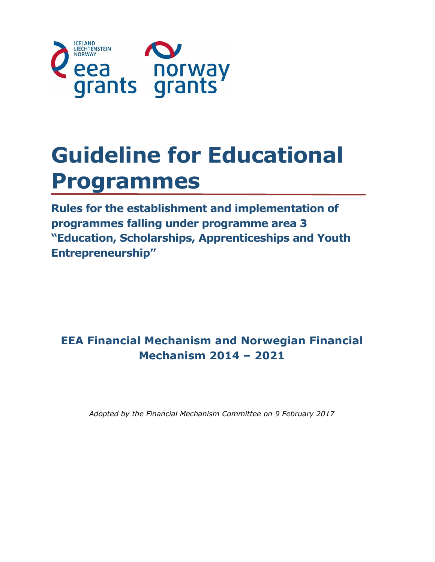

# **Guideline for Educational Programmes**

**Rules for the establishment and implementation of programmes falling under programme area 3 "Education, Scholarships, Apprenticeships and Youth Entrepreneurship"**

# **EEA Financial Mechanism and Norwegian Financial Mechanism 2014 – 2021**

*Adopted by the Financial Mechanism Committee on 9 February 2017*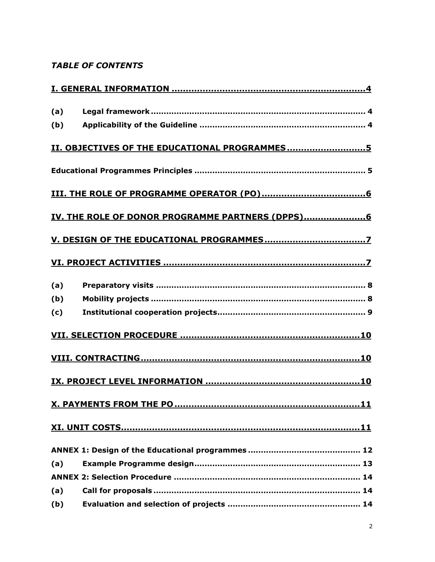## **TABLE OF CONTENTS**

| (a) |                                                 |
|-----|-------------------------------------------------|
| (b) |                                                 |
|     | II. OBJECTIVES OF THE EDUCATIONAL PROGRAMMES5   |
|     |                                                 |
|     |                                                 |
|     | IV. THE ROLE OF DONOR PROGRAMME PARTNERS (DPPS) |
|     |                                                 |
|     |                                                 |
| (a) |                                                 |
| (b) |                                                 |
| (c) |                                                 |
|     |                                                 |
|     |                                                 |
|     |                                                 |
|     |                                                 |
|     |                                                 |
|     |                                                 |
| (a) |                                                 |
|     |                                                 |
| (a) |                                                 |
| (b) |                                                 |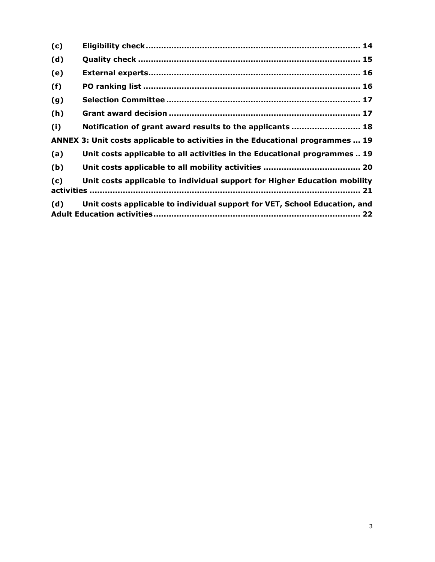| (c) |                                                                                |
|-----|--------------------------------------------------------------------------------|
| (d) |                                                                                |
| (e) |                                                                                |
| (f) |                                                                                |
| (g) |                                                                                |
| (h) |                                                                                |
| (i) | Notification of grant award results to the applicants  18                      |
|     | ANNEX 3: Unit costs applicable to activities in the Educational programmes  19 |
| (a) | Unit costs applicable to all activities in the Educational programmes 19       |
| (b) |                                                                                |
| (c) | Unit costs applicable to individual support for Higher Education mobility      |
| (d) | Unit costs applicable to individual support for VET, School Education, and     |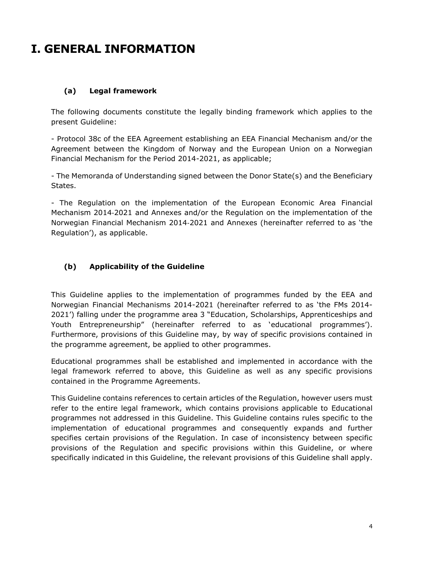# <span id="page-3-0"></span>**I. GENERAL INFORMATION**

### <span id="page-3-1"></span>**(a) Legal framework**

The following documents constitute the legally binding framework which applies to the present Guideline:

- Protocol 38c of the EEA Agreement establishing an EEA Financial Mechanism and/or the Agreement between the Kingdom of Norway and the European Union on a Norwegian Financial Mechanism for the Period 2014-2021, as applicable;

- The Memoranda of Understanding signed between the Donor State(s) and the Beneficiary States.

- The Regulation on the implementation of the European Economic Area Financial Mechanism 2014‐2021 and Annexes and/or the Regulation on the implementation of the Norwegian Financial Mechanism 2014‐2021 and Annexes (hereinafter referred to as 'the Regulation'), as applicable.

### <span id="page-3-2"></span>**(b) Applicability of the Guideline**

This Guideline applies to the implementation of programmes funded by the EEA and Norwegian Financial Mechanisms 2014-2021 (hereinafter referred to as 'the FMs 2014- 2021') falling under the programme area 3 "Education, Scholarships, Apprenticeships and Youth Entrepreneurship" (hereinafter referred to as 'educational programmes'). Furthermore, provisions of this Guideline may, by way of specific provisions contained in the programme agreement, be applied to other programmes.

Educational programmes shall be established and implemented in accordance with the legal framework referred to above, this Guideline as well as any specific provisions contained in the Programme Agreements.

This Guideline contains references to certain articles of the Regulation, however users must refer to the entire legal framework, which contains provisions applicable to Educational programmes not addressed in this Guideline. This Guideline contains rules specific to the implementation of educational programmes and consequently expands and further specifies certain provisions of the Regulation. In case of inconsistency between specific provisions of the Regulation and specific provisions within this Guideline, or where specifically indicated in this Guideline, the relevant provisions of this Guideline shall apply.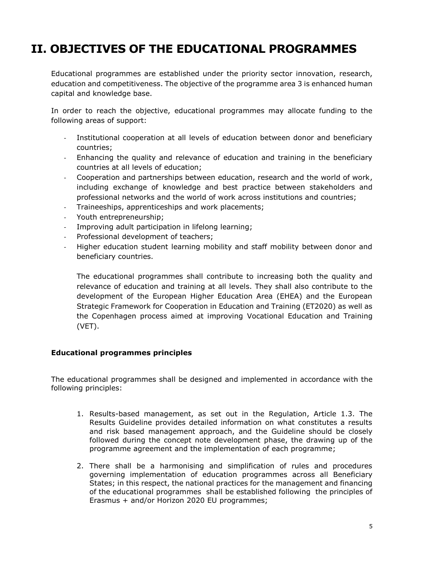# <span id="page-4-0"></span>**II. OBJECTIVES OF THE EDUCATIONAL PROGRAMMES**

Educational programmes are established under the priority sector innovation, research, education and competitiveness. The objective of the programme area 3 is enhanced human capital and knowledge base.

In order to reach the objective, educational programmes may allocate funding to the following areas of support:

- Institutional cooperation at all levels of education between donor and beneficiary countries;
- Enhancing the quality and relevance of education and training in the beneficiary countries at all levels of education;
- Cooperation and partnerships between education, research and the world of work, including exchange of knowledge and best practice between stakeholders and professional networks and the world of work across institutions and countries;
- Traineeships, apprenticeships and work placements;
- Youth entrepreneurship;
- Improving adult participation in lifelong learning;
- Professional development of teachers;
- Higher education student learning mobility and staff mobility between donor and beneficiary countries.

The educational programmes shall contribute to increasing both the quality and relevance of education and training at all levels. They shall also contribute to the development of the European Higher Education Area (EHEA) and the European Strategic Framework for Cooperation in Education and Training (ET2020) as well as the Copenhagen process aimed at improving Vocational Education and Training (VET).

#### <span id="page-4-1"></span>**Educational programmes principles**

The educational programmes shall be designed and implemented in accordance with the following principles:

- 1. Results-based management, as set out in the Regulation, Article 1.3. The Results Guideline provides detailed information on what constitutes a results and risk based management approach, and the Guideline should be closely followed during the concept note development phase, the drawing up of the programme agreement and the implementation of each programme;
- 2. There shall be a harmonising and simplification of rules and procedures governing implementation of education programmes across all Beneficiary States; in this respect, the national practices for the management and financing of the educational programmes shall be established following the principles of Erasmus + and/or Horizon 2020 EU programmes;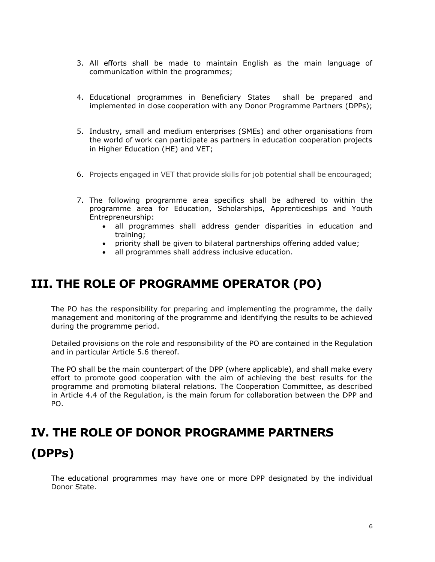- 3. All efforts shall be made to maintain English as the main language of communication within the programmes;
- 4. Educational programmes in Beneficiary States shall be prepared and implemented in close cooperation with any Donor Programme Partners (DPPs);
- 5. Industry, small and medium enterprises (SMEs) and other organisations from the world of work can participate as partners in education cooperation projects in Higher Education (HE) and VET;
- 6. Projects engaged in VET that provide skills for job potential shall be encouraged;
- 7. The following programme area specifics shall be adhered to within the programme area for Education, Scholarships, Apprenticeships and Youth Entrepreneurship:
	- all programmes shall address gender disparities in education and training;
	- priority shall be given to bilateral partnerships offering added value;
	- all programmes shall address inclusive education.

# <span id="page-5-0"></span>**III. THE ROLE OF PROGRAMME OPERATOR (PO)**

The PO has the responsibility for preparing and implementing the programme, the daily management and monitoring of the programme and identifying the results to be achieved during the programme period.

Detailed provisions on the role and responsibility of the PO are contained in the Regulation and in particular Article 5.6 thereof.

The PO shall be the main counterpart of the DPP (where applicable), and shall make every effort to promote good cooperation with the aim of achieving the best results for the programme and promoting bilateral relations. The Cooperation Committee, as described in Article 4.4 of the Regulation, is the main forum for collaboration between the DPP and PO.

# <span id="page-5-1"></span>**IV. THE ROLE OF DONOR PROGRAMME PARTNERS (DPPs)**

The educational programmes may have one or more DPP designated by the individual Donor State.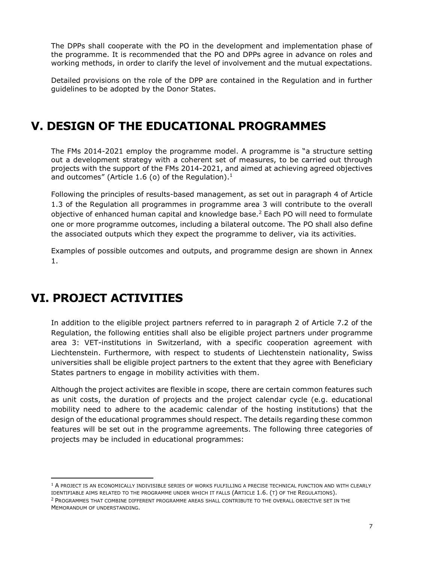The DPPs shall cooperate with the PO in the development and implementation phase of the programme. It is recommended that the PO and DPPs agree in advance on roles and working methods, in order to clarify the level of involvement and the mutual expectations.

Detailed provisions on the role of the DPP are contained in the Regulation and in further guidelines to be adopted by the Donor States.

# <span id="page-6-0"></span>**V. DESIGN OF THE EDUCATIONAL PROGRAMMES**

The FMs 2014-2021 employ the programme model. A programme is "a structure setting out a development strategy with a coherent set of measures, to be carried out through projects with the support of the FMs 2014-2021, and aimed at achieving agreed objectives and outcomes" (Article 1.6 (o) of the Regulation). $<sup>1</sup>$ </sup>

Following the principles of results-based management, as set out in paragraph 4 of Article 1.3 of the Regulation all programmes in programme area 3 will contribute to the overall objective of enhanced human capital and knowledge base.<sup>2</sup> Each PO will need to formulate one or more programme outcomes, including a bilateral outcome. The PO shall also define the associated outputs which they expect the programme to deliver, via its activities.

Examples of possible outcomes and outputs, and programme design are shown in Annex 1.

# <span id="page-6-1"></span>**VI. PROJECT ACTIVITIES**

 $\overline{a}$ 

In addition to the eligible project partners referred to in paragraph 2 of Article 7.2 of the Regulation, the following entities shall also be eligible project partners under programme area 3: VET-institutions in Switzerland, with a specific cooperation agreement with Liechtenstein. Furthermore, with respect to students of Liechtenstein nationality, Swiss universities shall be eligible project partners to the extent that they agree with Beneficiary States partners to engage in mobility activities with them.

Although the project activites are flexible in scope, there are certain common features such as unit costs, the duration of projects and the project calendar cycle (e.g. educational mobility need to adhere to the academic calendar of the hosting institutions) that the design of the educational programmes should respect. The details regarding these common features will be set out in the programme agreements. The following three categories of projects may be included in educational programmes:

<sup>&</sup>lt;sup>1</sup> A PROJECT IS AN ECONOMICALLY INDIVISIBLE SERIES OF WORKS FULFILLING A PRECISE TECHNICAL FUNCTION AND WITH CLEARLY IDENTIFIABLE AIMS RELATED TO THE PROGRAMME UNDER WHICH IT FALLS (ARTICLE 1.6. (T) OF THE REGULATIONS). 2 PROGRAMMES THAT COMBINE DIFFERENT PROGRAMME AREAS SHALL CONTRIBUTE TO THE OVERALL OBJECTIVE SET IN THE MEMORANDUM OF UNDERSTANDING.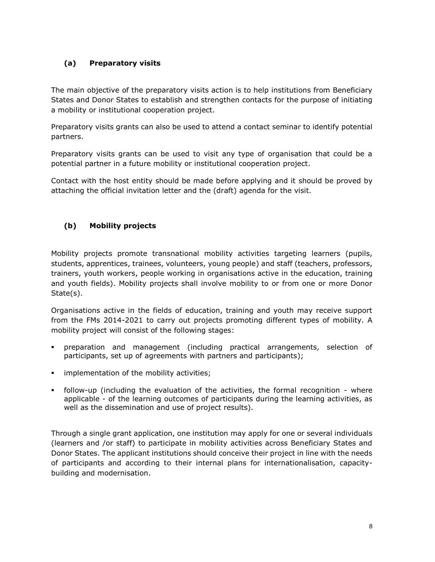### <span id="page-7-0"></span>**(a) Preparatory visits**

The main objective of the preparatory visits action is to help institutions from Beneficiary States and Donor States to establish and strengthen contacts for the purpose of initiating a mobility or institutional cooperation project.

Preparatory visits grants can also be used to attend a contact seminar to identify potential partners.

Preparatory visits grants can be used to visit any type of organisation that could be a potential partner in a future mobility or institutional cooperation project.

Contact with the host entity should be made before applying and it should be proved by attaching the official invitation letter and the (draft) agenda for the visit.

### <span id="page-7-1"></span>**(b) Mobility projects**

Mobility projects promote transnational mobility activities targeting learners (pupils, students, apprentices, trainees, volunteers, young people) and staff (teachers, professors, trainers, youth workers, people working in organisations active in the education, training and youth fields). Mobility projects shall involve mobility to or from one or more Donor State(s).

Organisations active in the fields of education, training and youth may receive support from the FMs 2014-2021 to carry out projects promoting different types of mobility. A mobility project will consist of the following stages:

- preparation and management (including practical arrangements, selection of participants, set up of agreements with partners and participants);
- **implementation of the mobility activities;**
- follow-up (including the evaluation of the activities, the formal recognition where applicable - of the learning outcomes of participants during the learning activities, as well as the dissemination and use of project results).

Through a single grant application, one institution may apply for one or several individuals (learners and /or staff) to participate in mobility activities across Beneficiary States and Donor States. The applicant institutions should conceive their project in line with the needs of participants and according to their internal plans for internationalisation, capacitybuilding and modernisation.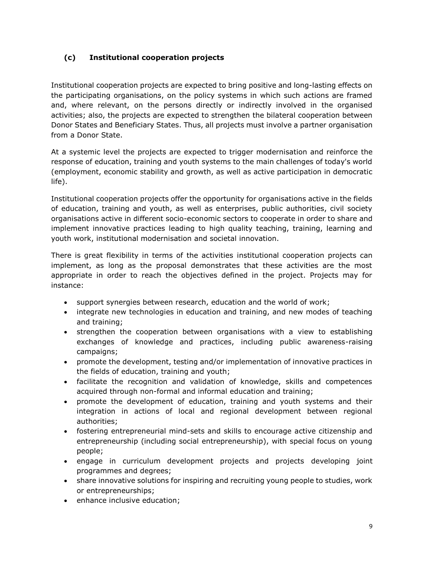### <span id="page-8-0"></span>**(c) Institutional cooperation projects**

Institutional cooperation projects are expected to bring positive and long-lasting effects on the participating organisations, on the policy systems in which such actions are framed and, where relevant, on the persons directly or indirectly involved in the organised activities; also, the projects are expected to strengthen the bilateral cooperation between Donor States and Beneficiary States. Thus, all projects must involve a partner organisation from a Donor State.

At a systemic level the projects are expected to trigger modernisation and reinforce the response of education, training and youth systems to the main challenges of today's world (employment, economic stability and growth, as well as active participation in democratic life).

Institutional cooperation projects offer the opportunity for organisations active in the fields of education, training and youth, as well as enterprises, public authorities, civil society organisations active in different socio-economic sectors to cooperate in order to share and implement innovative practices leading to high quality teaching, training, learning and youth work, institutional modernisation and societal innovation.

There is great flexibility in terms of the activities institutional cooperation projects can implement, as long as the proposal demonstrates that these activities are the most appropriate in order to reach the objectives defined in the project. Projects may for instance:

- support synergies between research, education and the world of work;
- integrate new technologies in education and training, and new modes of teaching and training;
- strengthen the cooperation between organisations with a view to establishing exchanges of knowledge and practices, including public awareness-raising campaigns;
- promote the development, testing and/or implementation of innovative practices in the fields of education, training and youth;
- facilitate the recognition and validation of knowledge, skills and competences acquired through non-formal and informal education and training;
- promote the development of education, training and youth systems and their integration in actions of local and regional development between regional authorities;
- fostering entrepreneurial mind-sets and skills to encourage active citizenship and entrepreneurship (including social entrepreneurship), with special focus on young people;
- engage in curriculum development projects and projects developing joint programmes and degrees;
- share innovative solutions for inspiring and recruiting young people to studies, work or entrepreneurships;
- **•** enhance inclusive education;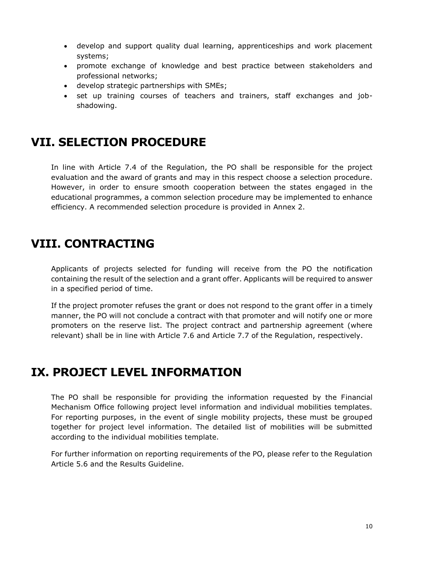- develop and support quality dual learning, apprenticeships and work placement systems;
- promote exchange of knowledge and best practice between stakeholders and professional networks;
- develop strategic partnerships with SMEs;
- set up training courses of teachers and trainers, staff exchanges and jobshadowing.

# <span id="page-9-0"></span>**VII. SELECTION PROCEDURE**

In line with Article 7.4 of the Regulation, the PO shall be responsible for the project evaluation and the award of grants and may in this respect choose a selection procedure. However, in order to ensure smooth cooperation between the states engaged in the educational programmes, a common selection procedure may be implemented to enhance efficiency. A recommended selection procedure is provided in Annex 2.

# <span id="page-9-1"></span>**VIII. CONTRACTING**

Applicants of projects selected for funding will receive from the PO the notification containing the result of the selection and a grant offer. Applicants will be required to answer in a specified period of time.

If the project promoter refuses the grant or does not respond to the grant offer in a timely manner, the PO will not conclude a contract with that promoter and will notify one or more promoters on the reserve list. The project contract and partnership agreement (where relevant) shall be in line with Article 7.6 and Article 7.7 of the Regulation, respectively.

# <span id="page-9-2"></span>**IX. PROJECT LEVEL INFORMATION**

The PO shall be responsible for providing the information requested by the Financial Mechanism Office following project level information and individual mobilities templates. For reporting purposes, in the event of single mobility projects, these must be grouped together for project level information. The detailed list of mobilities will be submitted according to the individual mobilities template.

For further information on reporting requirements of the PO, please refer to the Regulation Article 5.6 and the Results Guideline.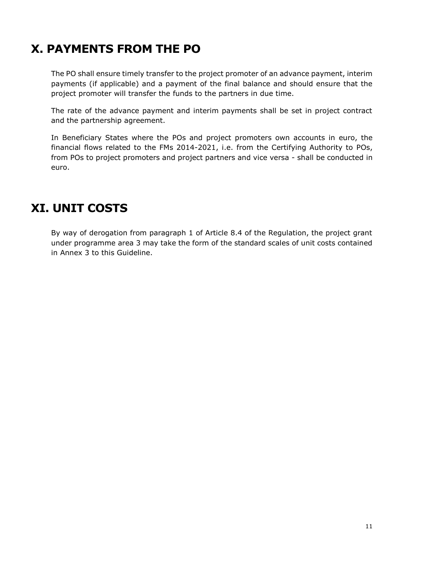# <span id="page-10-0"></span>**X. PAYMENTS FROM THE PO**

The PO shall ensure timely transfer to the project promoter of an advance payment, interim payments (if applicable) and a payment of the final balance and should ensure that the project promoter will transfer the funds to the partners in due time.

The rate of the advance payment and interim payments shall be set in project contract and the partnership agreement.

In Beneficiary States where the POs and project promoters own accounts in euro, the financial flows related to the FMs 2014-2021, i.e. from the Certifying Authority to POs, from POs to project promoters and project partners and vice versa - shall be conducted in euro.

# <span id="page-10-1"></span>**XI. UNIT COSTS**

By way of derogation from paragraph 1 of Article 8.4 of the Regulation, the project grant under programme area 3 may take the form of the standard scales of unit costs contained in Annex 3 to this Guideline.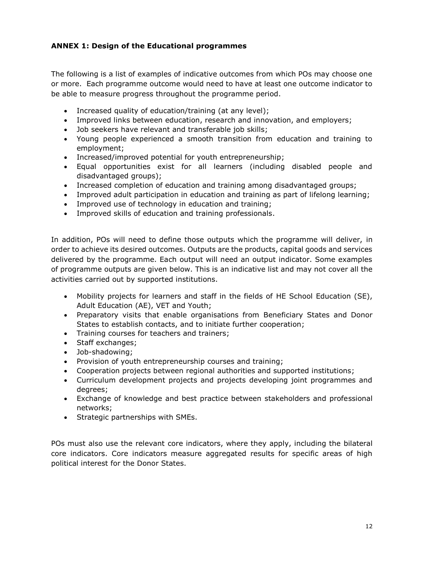#### <span id="page-11-0"></span>**ANNEX 1: Design of the Educational programmes**

The following is a list of examples of indicative outcomes from which POs may choose one or more. Each programme outcome would need to have at least one outcome indicator to be able to measure progress throughout the programme period.

- Increased quality of education/training (at any level);
- Improved links between education, research and innovation, and employers;
- Job seekers have relevant and transferable job skills;
- Young people experienced a smooth transition from education and training to employment;
- Increased/improved potential for youth entrepreneurship;
- Equal opportunities exist for all learners (including disabled people and disadvantaged groups);
- Increased completion of education and training among disadvantaged groups;
- Improved adult participation in education and training as part of lifelong learning;
- Improved use of technology in education and training;
- Improved skills of education and training professionals.

In addition, POs will need to define those outputs which the programme will deliver, in order to achieve its desired outcomes. Outputs are the products, capital goods and services delivered by the programme. Each output will need an output indicator. Some examples of programme outputs are given below. This is an indicative list and may not cover all the activities carried out by supported institutions.

- Mobility projects for learners and staff in the fields of HE School Education (SE), Adult Education (AE), VET and Youth;
- Preparatory visits that enable organisations from Beneficiary States and Donor States to establish contacts, and to initiate further cooperation;
- Training courses for teachers and trainers;
- Staff exchanges;
- Job-shadowing;
- Provision of youth entrepreneurship courses and training;
- Cooperation projects between regional authorities and supported institutions;
- Curriculum development projects and projects developing joint programmes and degrees;
- Exchange of knowledge and best practice between stakeholders and professional networks;
- Strategic partnerships with SMEs.

POs must also use the relevant core indicators, where they apply, including the bilateral core indicators. Core indicators measure aggregated results for specific areas of high political interest for the Donor States.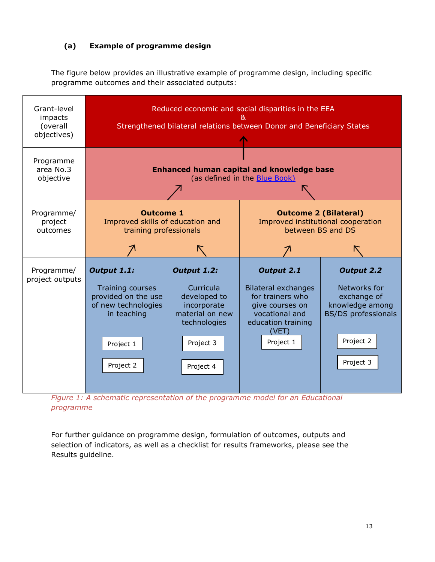### <span id="page-12-0"></span>**(a) Example of programme design**

The figure below provides an illustrative example of programme design, including specific programme outcomes and their associated outputs:



*Figure 1: A schematic representation of the programme model for an Educational programme* 

For further guidance on programme design, formulation of outcomes, outputs and selection of indicators, as well as a checklist for results frameworks, please see the Results guideline.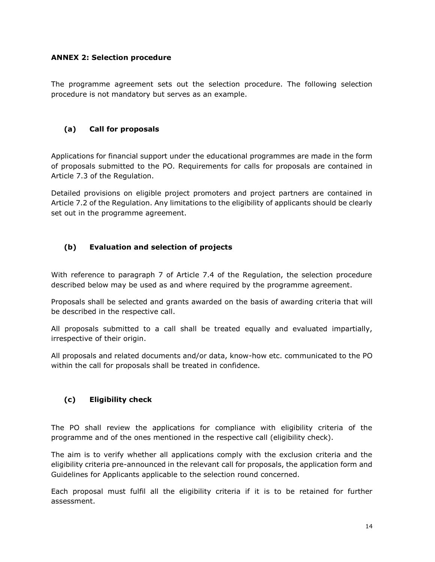#### <span id="page-13-0"></span>**ANNEX 2: Selection procedure**

The programme agreement sets out the selection procedure. The following selection procedure is not mandatory but serves as an example.

#### <span id="page-13-1"></span>**(a) Call for proposals**

Applications for financial support under the educational programmes are made in the form of proposals submitted to the PO. Requirements for calls for proposals are contained in Article 7.3 of the Regulation.

Detailed provisions on eligible project promoters and project partners are contained in Article 7.2 of the Regulation. Any limitations to the eligibility of applicants should be clearly set out in the programme agreement.

#### <span id="page-13-2"></span>**(b) Evaluation and selection of projects**

With reference to paragraph 7 of Article 7.4 of the Regulation, the selection procedure described below may be used as and where required by the programme agreement.

Proposals shall be selected and grants awarded on the basis of awarding criteria that will be described in the respective call.

All proposals submitted to a call shall be treated equally and evaluated impartially, irrespective of their origin.

All proposals and related documents and/or data, know-how etc. communicated to the PO within the call for proposals shall be treated in confidence.

#### <span id="page-13-3"></span>**(c) Eligibility check**

The PO shall review the applications for compliance with eligibility criteria of the programme and of the ones mentioned in the respective call (eligibility check).

The aim is to verify whether all applications comply with the exclusion criteria and the eligibility criteria pre-announced in the relevant call for proposals, the application form and Guidelines for Applicants applicable to the selection round concerned.

Each proposal must fulfil all the eligibility criteria if it is to be retained for further assessment.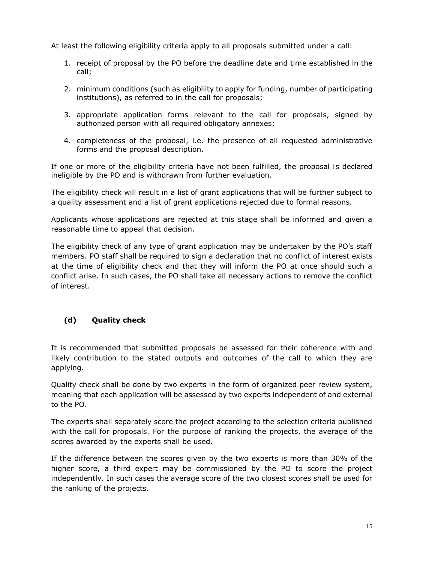At least the following eligibility criteria apply to all proposals submitted under a call:

- 1. receipt of proposal by the PO before the deadline date and time established in the call;
- 2. minimum conditions (such as eligibility to apply for funding, number of participating institutions), as referred to in the call for proposals;
- 3. appropriate application forms relevant to the call for proposals, signed by authorized person with all required obligatory annexes;
- 4. completeness of the proposal, i.e. the presence of all requested administrative forms and the proposal description.

If one or more of the eligibility criteria have not been fulfilled, the proposal is declared ineligible by the PO and is withdrawn from further evaluation.

The eligibility check will result in a list of grant applications that will be further subject to a quality assessment and a list of grant applications rejected due to formal reasons.

Applicants whose applications are rejected at this stage shall be informed and given a reasonable time to appeal that decision.

The eligibility check of any type of grant application may be undertaken by the PO's staff members. PO staff shall be required to sign a declaration that no conflict of interest exists at the time of eligibility check and that they will inform the PO at once should such a conflict arise. In such cases, the PO shall take all necessary actions to remove the conflict of interest.

### <span id="page-14-0"></span>**(d) Quality check**

It is recommended that submitted proposals be assessed for their coherence with and likely contribution to the stated outputs and outcomes of the call to which they are applying.

Quality check shall be done by two experts in the form of organized peer review system, meaning that each application will be assessed by two experts independent of and external to the PO.

The experts shall separately score the project according to the selection criteria published with the call for proposals. For the purpose of ranking the projects, the average of the scores awarded by the experts shall be used.

If the difference between the scores given by the two experts is more than 30% of the higher score, a third expert may be commissioned by the PO to score the project independently. In such cases the average score of the two closest scores shall be used for the ranking of the projects.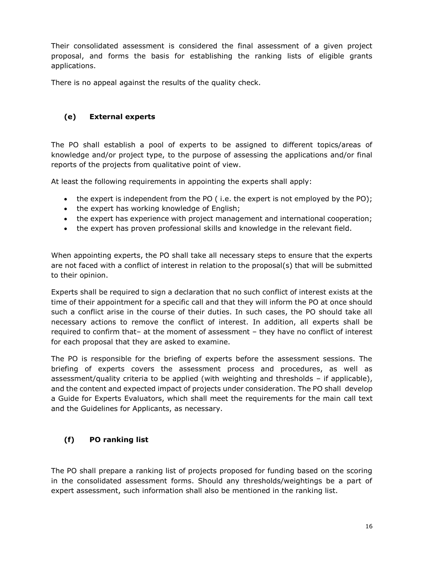Their consolidated assessment is considered the final assessment of a given project proposal, and forms the basis for establishing the ranking lists of eligible grants applications.

There is no appeal against the results of the quality check.

### <span id="page-15-0"></span>**(e) External experts**

The PO shall establish a pool of experts to be assigned to different topics/areas of knowledge and/or project type, to the purpose of assessing the applications and/or final reports of the projects from qualitative point of view.

At least the following requirements in appointing the experts shall apply:

- $\bullet$  the expert is independent from the PO (i.e. the expert is not employed by the PO);
- the expert has working knowledge of English;
- the expert has experience with project management and international cooperation;
- the expert has proven professional skills and knowledge in the relevant field.

When appointing experts, the PO shall take all necessary steps to ensure that the experts are not faced with a conflict of interest in relation to the proposal(s) that will be submitted to their opinion.

Experts shall be required to sign a declaration that no such conflict of interest exists at the time of their appointment for a specific call and that they will inform the PO at once should such a conflict arise in the course of their duties. In such cases, the PO should take all necessary actions to remove the conflict of interest. In addition, all experts shall be required to confirm that– at the moment of assessment – they have no conflict of interest for each proposal that they are asked to examine.

The PO is responsible for the briefing of experts before the assessment sessions. The briefing of experts covers the assessment process and procedures, as well as assessment/quality criteria to be applied (with weighting and thresholds – if applicable), and the content and expected impact of projects under consideration. The PO shall develop a Guide for Experts Evaluators, which shall meet the requirements for the main call text and the Guidelines for Applicants, as necessary.

### <span id="page-15-1"></span>**(f) PO ranking list**

The PO shall prepare a ranking list of projects proposed for funding based on the scoring in the consolidated assessment forms. Should any thresholds/weightings be a part of expert assessment, such information shall also be mentioned in the ranking list.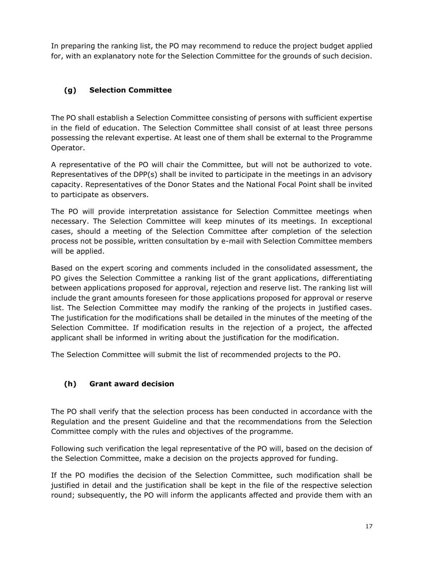In preparing the ranking list, the PO may recommend to reduce the project budget applied for, with an explanatory note for the Selection Committee for the grounds of such decision.

### <span id="page-16-0"></span>**(g) Selection Committee**

The PO shall establish a Selection Committee consisting of persons with sufficient expertise in the field of education. The Selection Committee shall consist of at least three persons possessing the relevant expertise. At least one of them shall be external to the Programme Operator.

A representative of the PO will chair the Committee, but will not be authorized to vote. Representatives of the DPP(s) shall be invited to participate in the meetings in an advisory capacity. Representatives of the Donor States and the National Focal Point shall be invited to participate as observers.

The PO will provide interpretation assistance for Selection Committee meetings when necessary. The Selection Committee will keep minutes of its meetings. In exceptional cases, should a meeting of the Selection Committee after completion of the selection process not be possible, written consultation by e-mail with Selection Committee members will be applied.

Based on the expert scoring and comments included in the consolidated assessment, the PO gives the Selection Committee a ranking list of the grant applications, differentiating between applications proposed for approval, rejection and reserve list. The ranking list will include the grant amounts foreseen for those applications proposed for approval or reserve list. The Selection Committee may modify the ranking of the projects in justified cases. The justification for the modifications shall be detailed in the minutes of the meeting of the Selection Committee. If modification results in the rejection of a project, the affected applicant shall be informed in writing about the justification for the modification.

The Selection Committee will submit the list of recommended projects to the PO.

### <span id="page-16-1"></span>**(h) Grant award decision**

The PO shall verify that the selection process has been conducted in accordance with the Regulation and the present Guideline and that the recommendations from the Selection Committee comply with the rules and objectives of the programme.

Following such verification the legal representative of the PO will, based on the decision of the Selection Committee, make a decision on the projects approved for funding.

If the PO modifies the decision of the Selection Committee, such modification shall be justified in detail and the justification shall be kept in the file of the respective selection round; subsequently, the PO will inform the applicants affected and provide them with an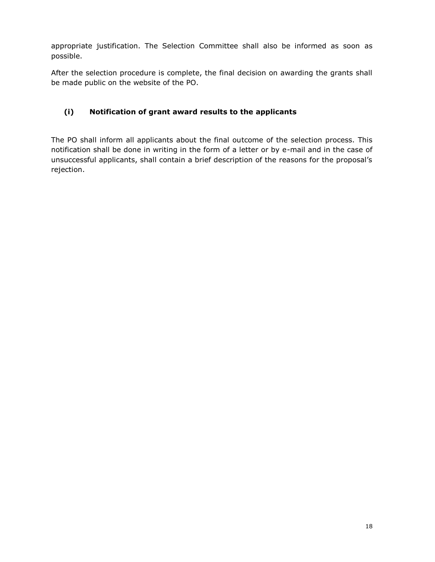appropriate justification. The Selection Committee shall also be informed as soon as possible.

After the selection procedure is complete, the final decision on awarding the grants shall be made public on the website of the PO.

### <span id="page-17-0"></span>**(i) Notification of grant award results to the applicants**

The PO shall inform all applicants about the final outcome of the selection process. This notification shall be done in writing in the form of a letter or by e-mail and in the case of unsuccessful applicants, shall contain a brief description of the reasons for the proposal's rejection.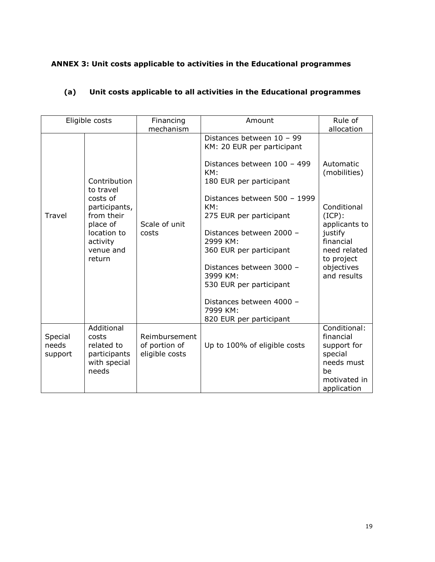### <span id="page-18-0"></span>**ANNEX 3: Unit costs applicable to activities in the Educational programmes**

### <span id="page-18-1"></span>**(a) Unit costs applicable to all activities in the Educational programmes**

| Eligible costs              |                                                                                                                                    | Financing<br>mechanism                           | Amount                                                                                                                                                                                                                                                                                                                                                                                              | Rule of<br>allocation                                                                                                                                     |
|-----------------------------|------------------------------------------------------------------------------------------------------------------------------------|--------------------------------------------------|-----------------------------------------------------------------------------------------------------------------------------------------------------------------------------------------------------------------------------------------------------------------------------------------------------------------------------------------------------------------------------------------------------|-----------------------------------------------------------------------------------------------------------------------------------------------------------|
| <b>Travel</b>               | Contribution<br>to travel<br>costs of<br>participants,<br>from their<br>place of<br>location to<br>activity<br>venue and<br>return | Scale of unit<br>costs                           | Distances between 10 - 99<br>KM: 20 EUR per participant<br>Distances between 100 - 499<br>KM:<br>180 EUR per participant<br>Distances between 500 - 1999<br>KM:<br>275 EUR per participant<br>Distances between 2000 -<br>2999 KM:<br>360 EUR per participant<br>Distances between 3000 -<br>3999 KM:<br>530 EUR per participant<br>Distances between 4000 -<br>7999 KM:<br>820 EUR per participant | Automatic<br>(mobilities)<br>Conditional<br>$(ICP)$ :<br>applicants to<br>justify<br>financial<br>need related<br>to project<br>objectives<br>and results |
| Special<br>needs<br>support | Additional<br>costs<br>related to<br>participants<br>with special<br>needs                                                         | Reimbursement<br>of portion of<br>eligible costs | Up to 100% of eligible costs                                                                                                                                                                                                                                                                                                                                                                        | Conditional:<br>financial<br>support for<br>special<br>needs must<br>be<br>motivated in<br>application                                                    |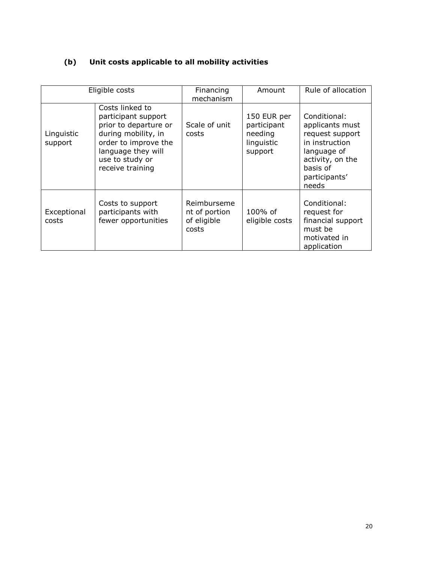### <span id="page-19-0"></span>**(b) Unit costs applicable to all mobility activities**

|                       | Eligible costs                                                                                                                                                              | Financing<br>mechanism                               | Amount                                                         | Rule of allocation                                                                                                                            |
|-----------------------|-----------------------------------------------------------------------------------------------------------------------------------------------------------------------------|------------------------------------------------------|----------------------------------------------------------------|-----------------------------------------------------------------------------------------------------------------------------------------------|
| Linguistic<br>support | Costs linked to<br>participant support<br>prior to departure or<br>during mobility, in<br>order to improve the<br>language they will<br>use to study or<br>receive training | Scale of unit<br>costs                               | 150 EUR per<br>participant<br>needing<br>linguistic<br>support | Conditional:<br>applicants must<br>request support<br>in instruction<br>language of<br>activity, on the<br>basis of<br>participants'<br>needs |
| Exceptional<br>costs  | Costs to support<br>participants with<br>fewer opportunities                                                                                                                | Reimburseme<br>nt of portion<br>of eligible<br>costs | 100% of<br>eligible costs                                      | Conditional:<br>request for<br>financial support<br>must be<br>motivated in<br>application                                                    |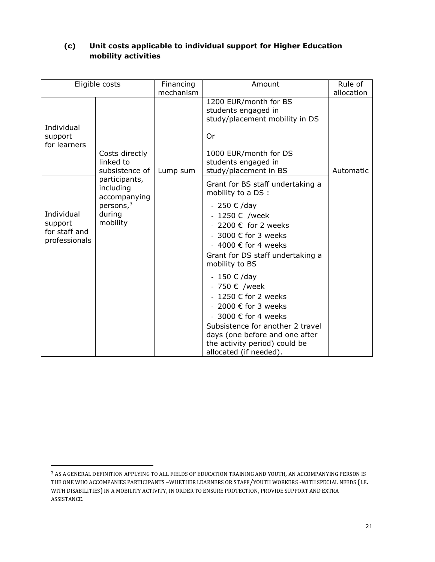| Eligible costs                                          |                                                                                                    | Financing<br>mechanism | Amount                                                                                                                                                                                                                                             | Rule of<br>allocation |
|---------------------------------------------------------|----------------------------------------------------------------------------------------------------|------------------------|----------------------------------------------------------------------------------------------------------------------------------------------------------------------------------------------------------------------------------------------------|-----------------------|
| Individual<br>support<br>for learners                   | Costs directly<br>linked to                                                                        |                        | 1200 EUR/month for BS<br>students engaged in<br>study/placement mobility in DS<br>Or<br>1000 EUR/month for DS<br>students engaged in                                                                                                               |                       |
| Individual<br>support<br>for staff and<br>professionals | subsistence of<br>participants,<br>including<br>accompanying<br>persons, $3$<br>during<br>mobility | Lump sum               | study/placement in BS<br>Grant for BS staff undertaking a<br>mobility to a DS :<br>- 250 € /day<br>$-1250 \in$ /week<br>- 2200 € for 2 weeks<br>- 3000 € for 3 weeks<br>- 4000 € for 4 weeks<br>Grant for DS staff undertaking a<br>mobility to BS | Automatic             |
|                                                         |                                                                                                    |                        | - 150 € /day<br>- 750 € /week<br>- 1250 € for 2 weeks<br>- 2000 € for 3 weeks<br>- 3000 € for 4 weeks<br>Subsistence for another 2 travel<br>days (one before and one after<br>the activity period) could be<br>allocated (if needed).             |                       |

### <span id="page-20-0"></span>**(c) Unit costs applicable to individual support for Higher Education mobility activities**

 $\overline{a}$ 

<sup>3</sup> AS A GENERAL DEFINITION APPLYING TO ALL FIELDS OF EDUCATION TRAINING AND YOUTH, AN ACCOMPANYING PERSON IS THE ONE WHO ACCOMPANIES PARTICIPANTS –WHETHER LEARNERS OR STAFF/YOUTH WORKERS -WITH SPECIAL NEEDS (I.E. WITH DISABILITIES) IN A MOBILITY ACTIVITY, IN ORDER TO ENSURE PROTECTION, PROVIDE SUPPORT AND EXTRA ASSISTANCE.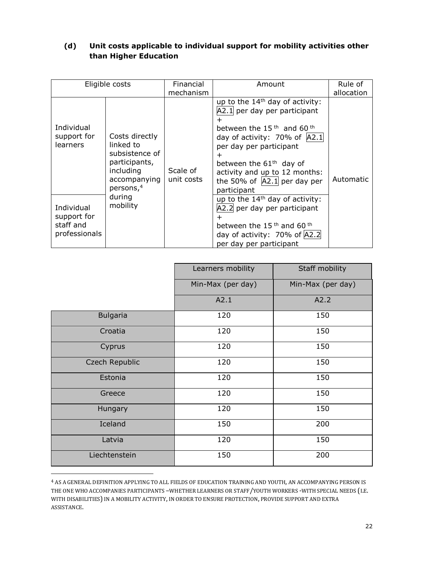### <span id="page-21-0"></span>**(d) Unit costs applicable to individual support for mobility activities other than Higher Education**

| Eligible costs                                          |                                                                                                                      | Financial<br>mechanism | Amount                                                                                                                                                                                                                                                                                           | Rule of<br>allocation |
|---------------------------------------------------------|----------------------------------------------------------------------------------------------------------------------|------------------------|--------------------------------------------------------------------------------------------------------------------------------------------------------------------------------------------------------------------------------------------------------------------------------------------------|-----------------------|
| Individual<br>support for<br>learners                   | Costs directly<br>linked to<br>subsistence of<br>participants,<br>including<br>accompanying<br>persons, <sup>4</sup> | Scale of<br>unit costs | up to the $14th$ day of activity:<br>A2.1 per day per participant<br>between the $15th$ and 60 <sup>th</sup><br>day of activity: 70% of $ A2.1 $<br>per day per participant<br>+<br>between the $61th$ day of<br>activity and up to 12 months:<br>the 50% of $ A2.1 $ per day per<br>participant | Automatic             |
| Individual<br>support for<br>staff and<br>professionals | during<br>mobility                                                                                                   |                        | up to the $14th$ day of activity:<br>A2.2 per day per participant<br>between the 15 <sup>th</sup> and 60 <sup>th</sup><br>day of activity: 70% of $ A2.2 $<br>per day per participant                                                                                                            |                       |

|                 | Learners mobility | Staff mobility    |  |
|-----------------|-------------------|-------------------|--|
|                 | Min-Max (per day) | Min-Max (per day) |  |
|                 | A2.1              | A2.2              |  |
| <b>Bulgaria</b> | 120               | 150               |  |
| Croatia         | 120               | 150               |  |
| Cyprus          | 120               | 150               |  |
| Czech Republic  | 120               | 150               |  |
| Estonia         | 120               | 150               |  |
| Greece          | 120               | 150               |  |
| Hungary         | 120               | 150               |  |
| Iceland         | 150               | 200               |  |
| Latvia          | 120               | 150               |  |
| Liechtenstein   | 150               | 200               |  |

<sup>4</sup> AS A GENERAL DEFINITION APPLYING TO ALL FIELDS OF EDUCATION TRAINING AND YOUTH, AN ACCOMPANYING PERSON IS THE ONE WHO ACCOMPANIES PARTICIPANTS –WHETHER LEARNERS OR STAFF/YOUTH WORKERS -WITH SPECIAL NEEDS (I.E. WITH DISABILITIES) IN A MOBILITY ACTIVITY, IN ORDER TO ENSURE PROTECTION, PROVIDE SUPPORT AND EXTRA ASSISTANCE.

 $\overline{a}$